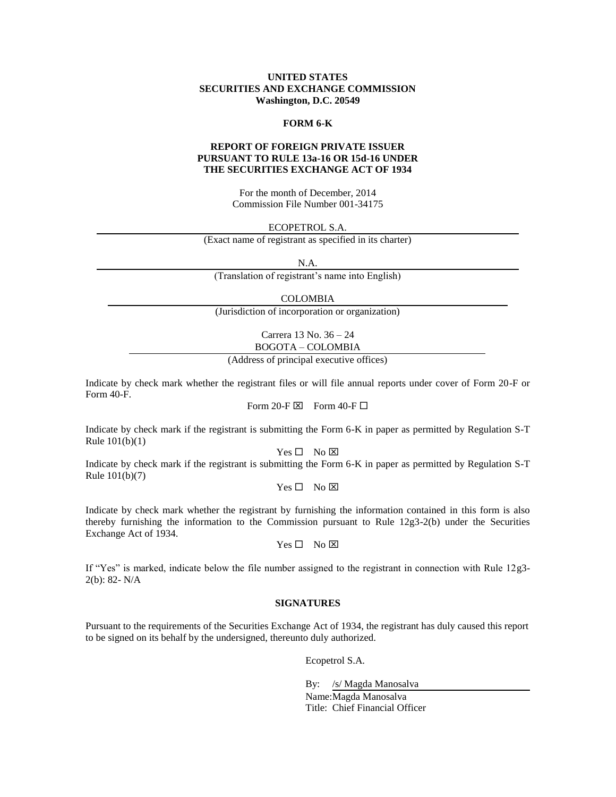### **UNITED STATES SECURITIES AND EXCHANGE COMMISSION Washington, D.C. 20549**

#### **FORM 6-K**

# **REPORT OF FOREIGN PRIVATE ISSUER PURSUANT TO RULE 13a-16 OR 15d-16 UNDER THE SECURITIES EXCHANGE ACT OF 1934**

For the month of December, 2014 Commission File Number 001-34175

ECOPETROL S.A.

(Exact name of registrant as specified in its charter)

N.A.

(Translation of registrant's name into English)

COLOMBIA

(Jurisdiction of incorporation or organization)

Carrera 13 No. 36 – 24

BOGOTA – COLOMBIA

(Address of principal executive offices)

Indicate by check mark whether the registrant files or will file annual reports under cover of Form 20-F or Form 40-F.

Form 20-F  $\boxtimes$  Form 40-F  $\Box$ 

Indicate by check mark if the registrant is submitting the Form 6-K in paper as permitted by Regulation S-T Rule 101(b)(1)

 $Yes \Box No \boxtimes$ 

Indicate by check mark if the registrant is submitting the Form 6-K in paper as permitted by Regulation S-T Rule 101(b)(7)

 $Yes \Box No \boxtimes$ 

Indicate by check mark whether the registrant by furnishing the information contained in this form is also thereby furnishing the information to the Commission pursuant to Rule 12g3-2(b) under the Securities Exchange Act of 1934.

 $Yes \Box No \boxtimes$ 

If "Yes" is marked, indicate below the file number assigned to the registrant in connection with Rule 12g3- 2(b): 82- N/A

#### **SIGNATURES**

Pursuant to the requirements of the Securities Exchange Act of 1934, the registrant has duly caused this report to be signed on its behalf by the undersigned, thereunto duly authorized.

Ecopetrol S.A.

By: /s/ Magda Manosalva

Name: Magda Manosalva Title: Chief Financial Officer